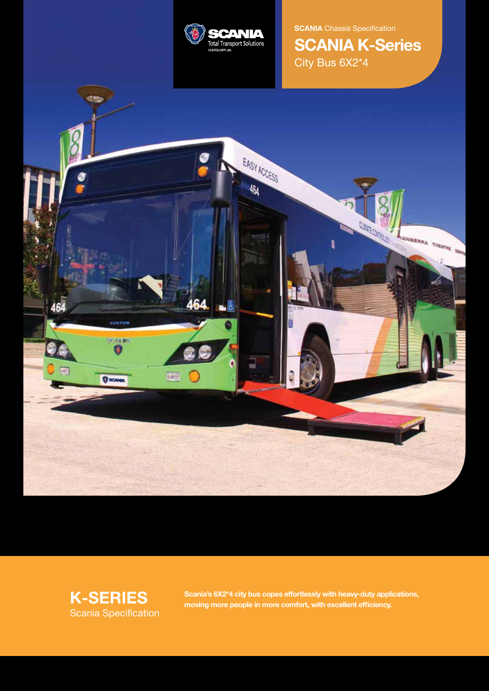

**SCANIA** Chassis Specification **SCANIA K-Series** City Bus 6X2\*4





**K-SERIES** Scania's 6X2\*4 city bus copes effortlessly with heavy-duty applications, moving more people in more comfort, with excellent efficiency.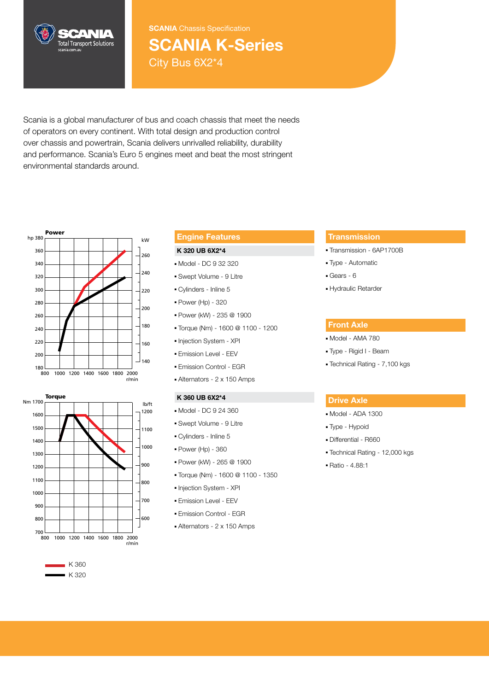

**SCANIA** Chassis Specification

# **SCANIA K-Series** City Bus 6X2\*4

Scania is a global manufacturer of bus and coach chassis that meet the needs of operators on every continent. With total design and production control over chassis and powertrain, Scania delivers unrivalled reliability, durability and performance. Scania's Euro 5 engines meet and beat the most stringent environmental standards around.



## Nm 1700 1600 1500 1300 1100 900 1400 1200 1000 800 700 800 1000 1200 1400 1600 1800 2000 r/min 600 700 800 900 1000 1100 1200

## $K360$  $K 320$

## **Engine Features**

## **K 320 UB 6X2\*4**

- Model DC 9 32 320
- Swept Volume 9 Litre
- Cylinders Inline 5
- Power (Hp) 320
- Power (kW) 235 @ 1900
- Torque (Nm) 1600 @ 1100 1200
- Injection System XPI
- Emission Level EEV
- Emission Control EGR
- Alternators 2 x 150 Amps

### K 360 UB 6X2\*4

hp 380

- lb/ft<br>1200 Model DC 9 24 360
	- Swept Volume 9 Litre
	- Cylinders Inline 5
	- Power (Hp) 360
	- Power (kW) 265 @ 1900
	- 200 Torque (Nm) 1600 @ 1100 1350
	- Injection System XPI
	- Emission Level EEV
	- Emission Control EGR
	- Alternators 2 x 150 Amps

## **Transmission**

- Transmission 6AP1700B
- Type Automatic
- Gears 6
- Hydraulic Retarder

## **Front Axle**

- Model AMA 780
- Type Rigid I Beam
- Technical Rating 7,100 kgs

## **Drive Axle**

- Model ADA 1300
- Type Hypoid
- Differential R660
- Technical Rating 12,000 kgs
- Ratio 4.88:1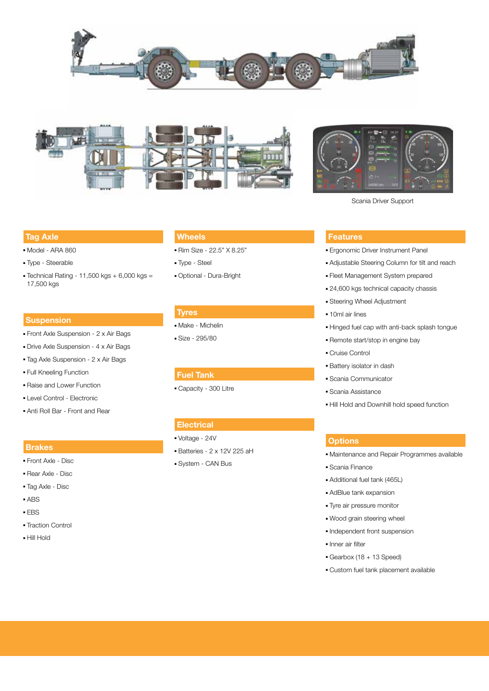





Scania Driver Support

## **Tag Axle**

- Model ARA 860
- Type Steerable
- $\blacktriangleright$  Technical Rating 11,500 kgs + 6,000 kgs = 17,500 kgs

## **Suspension**

- Front Axle Suspension 2 x Air Bags
- Drive Axle Suspension 4 x Air Bags
- Tag Axle Suspension 2 x Air Bags
- Full Kneeling Function
- Raise and Lower Function
- Level Control Electronic
- Anti Roll Bar Front and Rear

## **Brakes**

- Front Axle Disc
- Rear Axle Disc
- Tag Axle Disc
- ABS
- EBS
- Traction Control
- Hill Hold

## **Wheels**

- Rim Size 22.5" X 8.25"
- Type Steel
- Optional Dura-Bright

## **Tyres**

- Make Michelin
- Size 295/80

## **Electrical**

- Voltage 24V
- Batteries 2 x 12V 225 aH
- System CAN Bus

## **Features**

- Ergonomic Driver Instrument Panel
- Adjustable Steering Column for tilt and reach
- Fleet Management System prepared
- 24,600 kgs technical capacity chassis
- Steering Wheel Adjustment
- 10ml air lines
- Hinged fuel cap with anti-back splash tongue
- Remote start/stop in engine bay
- Cruise Control
- Battery isolator in dash
- Scania Communicator
- Scania Assistance
- Hill Hold and Downhill hold speed function

## **Options**

- Maintenance and Repair Programmes available
- Scania Finance
- Additional fuel tank (465L)
- AdBlue tank expansion
- Tyre air pressure monitor
- Wood grain steering wheel
- Independent front suspension
- Inner air filter
- Gearbox (18 + 13 Speed)
- Custom fuel tank placement available

## **Fuel Tank**

■ Capacity - 300 Litre